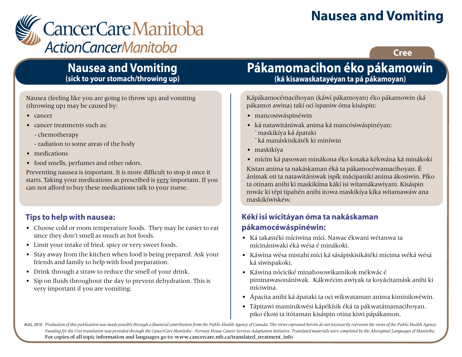# **Nausea and Vomiting**



### **Cree**

### **Nausea and Vomiting (sick to your stomach/throwing up)**

Nausea (feeling like you are going to throw up) and vomiting (throwing up) may be caused by:

- cancer
- cancer treatments such as:
	- chemotherapy
	- radiation to some areas of the body
- medications
- food smells, perfumes and other odors.

Preventing nausea is important. It is more difficult to stop it once it starts. Taking your medications as prescribed is very important. If you can not afford to buy these medications talk to your nurse.

### **Tips to help with nausea:**

- Choose cold or room temperature foods. They may be easier to eat since they don't smell as much as hot foods.
- Limit your intake of fried, spicy or very sweet foods.
- Stay away from the kitchen when food is being prepared. Ask your friends and family to help with food preparation.
- Drink through a straw to reduce the smell of your drink.
- Sip on fluids throughout the day to prevent dehydration. This is very important if you are vomiting.

# **Pákamomacihon éko pákamowin (ká kisawaskatayéyan ta pá pákamoyan)**

Kápákamocémacihoyan (káwí pákamoyan) éko pákamowin (ká pákamot awina) takí oci ispaniw óma kisáspin:

- mancosiwáspinéwin
- ká natawitániwak anima ká mancósiwáspinéyan: ˉ maskikíya ká ápataki
	- ˉ ká manáskisikáték ki miníwin
- maskikíya
- mícim ká pasowan minákona éko kotaka kékwána ká minákoki

Kistan anima ta nakáskaman éká ta pákamocéwamacihoyan. É ánimak oti ta natawitániwak ispík mácipaniki anima ákosiwin. Píko ta otinam anihi ki maskikíma kákí isi wítamákawiyani. Kisáspin mwác ki tépi tipahén anihi itowa maskikíya kika wítamawáw ana maskikíwiskéw.

### **Kékí isi wícitáyan óma ta nakáskaman pákamocéwáspinéwin:**

- Ká takastéki míciwina míci. Nawac ékwani wétanwa ta mícinániwaki éká wésa é minákoki.
- Káwina wésa mistahi míci ká sásápiskisikátéki mícima wéká wésá ká síwispakoki.
- Káwina nóciciké minahosowikamikok mékwác é piminawasonániwak. Kákwécim awiyak ta koyácitamásk anihi ki míciwina.
- Ápacita anihi ká ápataki ta oci wíkwataman anima kiminikwéwin.
- Tápitawi maminikwési kápékísik éká ta pákwatámamacihoyan. piko ékosi ta itótaman kisáspin otina kiwi pápákamon.

AUG, 2010 Production of this publication was made possible through a financial contribution from the Public Health Agency of Canada. The views expressed herein do not necessarily represent the views of the Public Health Ag *Funding for the Cree translation was provided through the CancerCare Manitoba - Norway House Cancer Services Adaptation Initiative. Translated materials were completed by the Aboriginal Languages of Manitoba.* For copies of all topic information and languages go to: www.cancercare.mb.ca/translated\_treatment\_info